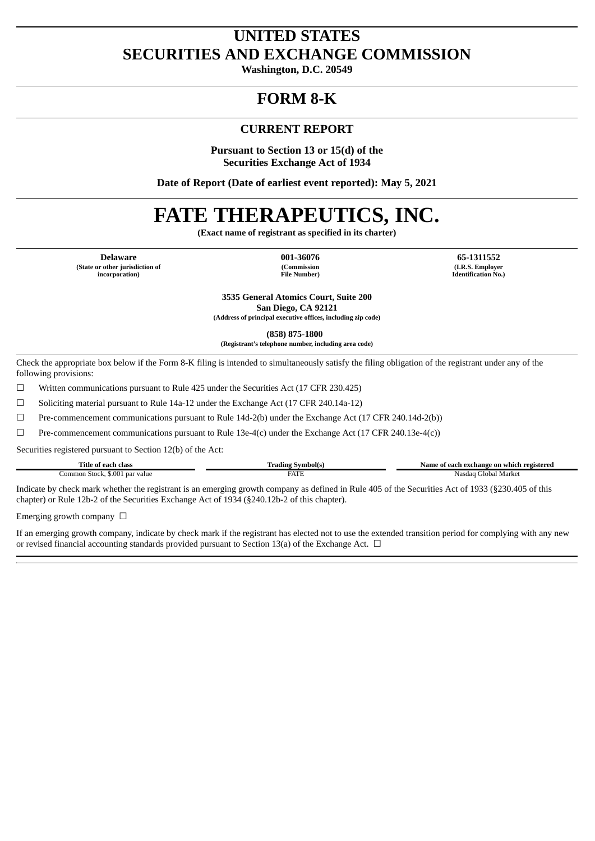# **UNITED STATES SECURITIES AND EXCHANGE COMMISSION**

**Washington, D.C. 20549**

# **FORM 8-K**

# **CURRENT REPORT**

**Pursuant to Section 13 or 15(d) of the Securities Exchange Act of 1934**

**Date of Report (Date of earliest event reported): May 5, 2021**

# **FATE THERAPEUTICS, INC.**

**(Exact name of registrant as specified in its charter)**

**Delaware 001-36076 65-1311552 (State or other jurisdiction of incorporation)**

**(Commission File Number)**

**(I.R.S. Employer Identification No.)**

**3535 General Atomics Court, Suite 200 San Diego, CA 92121**

**(Address of principal executive offices, including zip code)**

**(858) 875-1800**

**(Registrant's telephone number, including area code)**

Check the appropriate box below if the Form 8-K filing is intended to simultaneously satisfy the filing obligation of the registrant under any of the following provisions:

☐ Written communications pursuant to Rule 425 under the Securities Act (17 CFR 230.425)

☐ Soliciting material pursuant to Rule 14a-12 under the Exchange Act (17 CFR 240.14a-12)

☐ Pre-commencement communications pursuant to Rule 14d-2(b) under the Exchange Act (17 CFR 240.14d-2(b))

 $□$  Pre-commencement communications pursuant to Rule 13e-4(c) under the Exchange Act (17 CFR 240.13e-4(c))

Securities registered pursuant to Section 12(b) of the Act:

| Title of each class                                 | —<br><b>Symbol</b> s<br>rrading | Name of each exchange on which registered      |
|-----------------------------------------------------|---------------------------------|------------------------------------------------|
| S 00<br>Common<br>-par value<br>n Stock<br>.<br>___ | FATL                            | . Market<br>Global<br>Nasdac<br>_ _ _ _<br>. . |

Indicate by check mark whether the registrant is an emerging growth company as defined in Rule 405 of the Securities Act of 1933 (§230.405 of this chapter) or Rule 12b-2 of the Securities Exchange Act of 1934 (§240.12b-2 of this chapter).

Emerging growth company  $\ \Box$ 

If an emerging growth company, indicate by check mark if the registrant has elected not to use the extended transition period for complying with any new or revised financial accounting standards provided pursuant to Section 13(a) of the Exchange Act.  $\Box$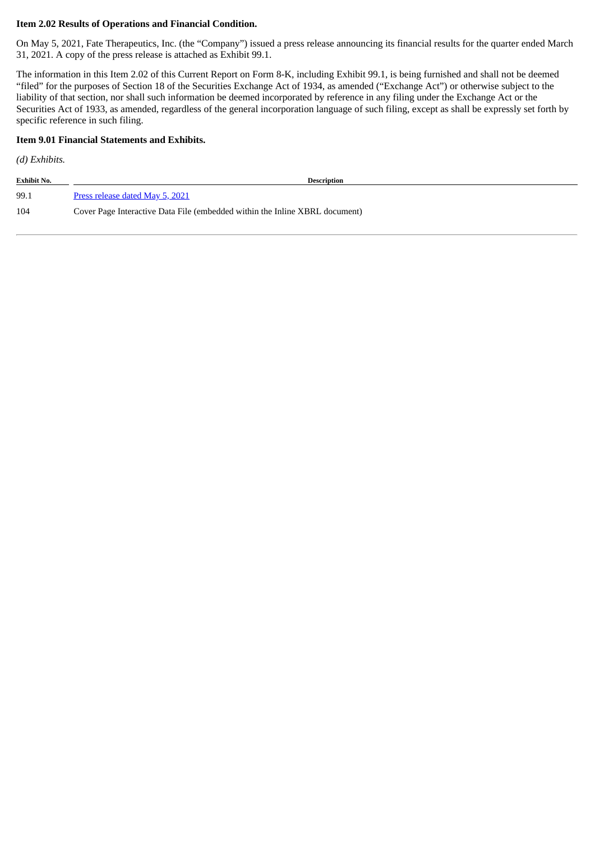#### **Item 2.02 Results of Operations and Financial Condition.**

On May 5, 2021, Fate Therapeutics, Inc. (the "Company") issued a press release announcing its financial results for the quarter ended March 31, 2021. A copy of the press release is attached as Exhibit 99.1.

The information in this Item 2.02 of this Current Report on Form 8-K, including Exhibit 99.1, is being furnished and shall not be deemed "filed" for the purposes of Section 18 of the Securities Exchange Act of 1934, as amended ("Exchange Act") or otherwise subject to the liability of that section, nor shall such information be deemed incorporated by reference in any filing under the Exchange Act or the Securities Act of 1933, as amended, regardless of the general incorporation language of such filing, except as shall be expressly set forth by specific reference in such filing.

#### **Item 9.01 Financial Statements and Exhibits.**

*(d) Exhibits.*

| <b>Exhibit No.</b> | Description                                                                 |
|--------------------|-----------------------------------------------------------------------------|
| 99.1               | Press release dated May 5, 2021                                             |
| 104                | Cover Page Interactive Data File (embedded within the Inline XBRL document) |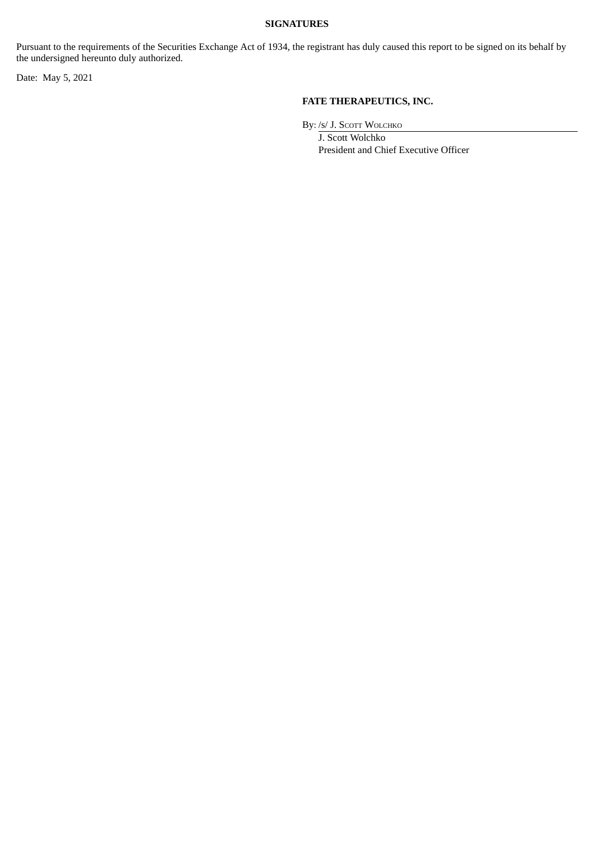## **SIGNATURES**

Pursuant to the requirements of the Securities Exchange Act of 1934, the registrant has duly caused this report to be signed on its behalf by the undersigned hereunto duly authorized.

Date: May 5, 2021

# **FATE THERAPEUTICS, INC.**

By: /s/ J. SCOTT WOLCHKO

J. Scott Wolchko President and Chief Executive Officer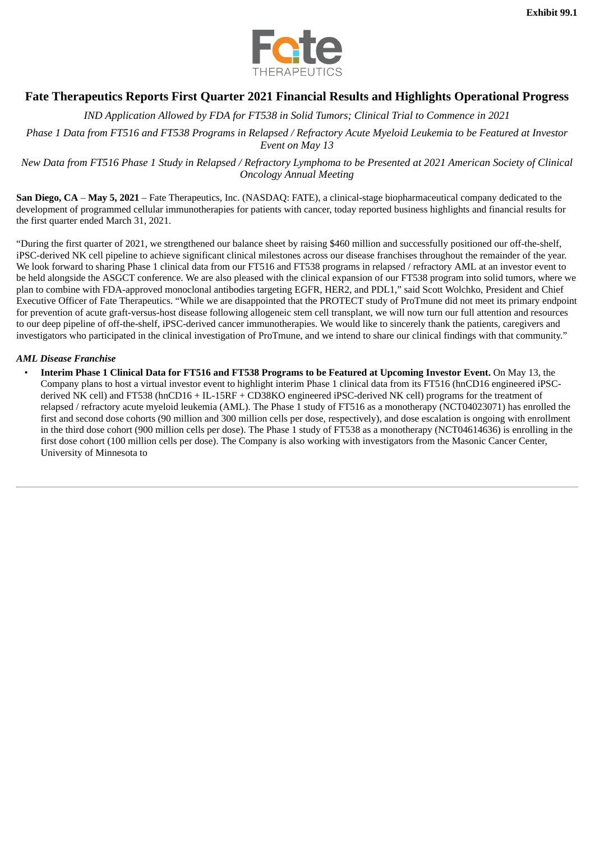

# <span id="page-3-0"></span>**Fate Therapeutics Reports First Quarter 2021 Financial Results and Highlights Operational Progress**

*IND Application Allowed by FDA for FT538 in Solid Tumors; Clinical Trial to Commence in 2021*

*Phase 1 Data from FT516 and FT538 Programs in Relapsed / Refractory Acute Myeloid Leukemia to be Featured at Investor Event on May 13*

*New Data from FT516 Phase 1 Study in Relapsed / Refractory Lymphoma to be Presented at 2021 American Society of Clinical Oncology Annual Meeting*

**San Diego, CA** – **May 5, 2021** – Fate Therapeutics, Inc. (NASDAQ: FATE), a clinical-stage biopharmaceutical company dedicated to the development of programmed cellular immunotherapies for patients with cancer, today reported business highlights and financial results for the first quarter ended March 31, 2021.

"During the first quarter of 2021, we strengthened our balance sheet by raising \$460 million and successfully positioned our off-the-shelf, iPSC-derived NK cell pipeline to achieve significant clinical milestones across our disease franchises throughout the remainder of the year. We look forward to sharing Phase 1 clinical data from our FT516 and FT538 programs in relapsed / refractory AML at an investor event to be held alongside the ASGCT conference. We are also pleased with the clinical expansion of our FT538 program into solid tumors, where we plan to combine with FDA-approved monoclonal antibodies targeting EGFR, HER2, and PDL1," said Scott Wolchko, President and Chief Executive Officer of Fate Therapeutics. "While we are disappointed that the PROTECT study of ProTmune did not meet its primary endpoint for prevention of acute graft-versus-host disease following allogeneic stem cell transplant, we will now turn our full attention and resources to our deep pipeline of off-the-shelf, iPSC-derived cancer immunotherapies. We would like to sincerely thank the patients, caregivers and investigators who participated in the clinical investigation of ProTmune, and we intend to share our clinical findings with that community."

#### *AML Disease Franchise*

Interim Phase 1 Clinical Data for FT516 and FT538 Programs to be Featured at Upcoming Investor Event. On May 13, the Company plans to host a virtual investor event to highlight interim Phase 1 clinical data from its FT516 (hnCD16 engineered iPSCderived NK cell) and FT538 (hnCD16 + IL-15RF + CD38KO engineered iPSC-derived NK cell) programs for the treatment of relapsed / refractory acute myeloid leukemia (AML). The Phase 1 study of FT516 as a monotherapy (NCT04023071) has enrolled the first and second dose cohorts (90 million and 300 million cells per dose, respectively), and dose escalation is ongoing with enrollment in the third dose cohort (900 million cells per dose). The Phase 1 study of FT538 as a monotherapy (NCT04614636) is enrolling in the first dose cohort (100 million cells per dose). The Company is also working with investigators from the Masonic Cancer Center, University of Minnesota to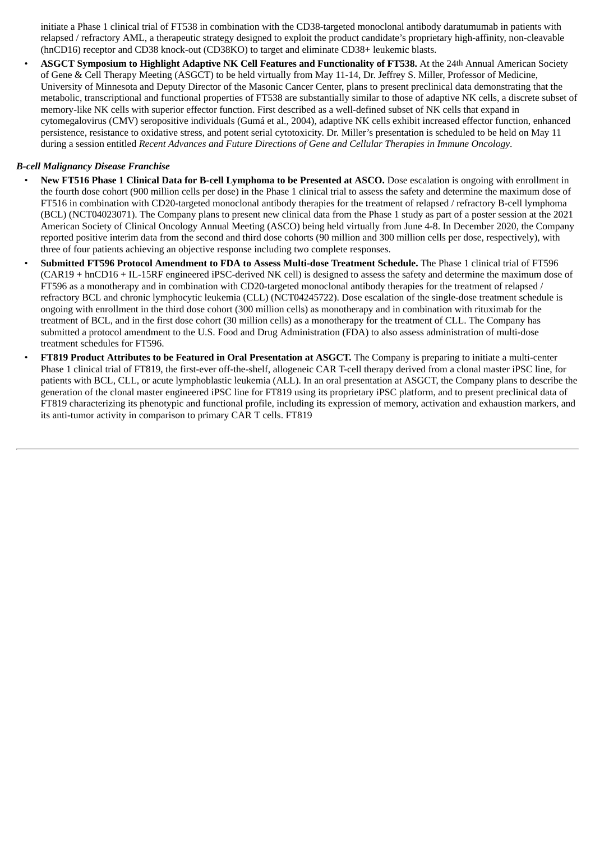initiate a Phase 1 clinical trial of FT538 in combination with the CD38-targeted monoclonal antibody daratumumab in patients with relapsed / refractory AML, a therapeutic strategy designed to exploit the product candidate's proprietary high-affinity, non-cleavable (hnCD16) receptor and CD38 knock-out (CD38KO) to target and eliminate CD38+ leukemic blasts.

• **ASGCT Symposium to Highlight Adaptive NK Cell Features and Functionality of FT538.** At the 24th Annual American Society of Gene & Cell Therapy Meeting (ASGCT) to be held virtually from May 11-14, Dr. Jeffrey S. Miller, Professor of Medicine, University of Minnesota and Deputy Director of the Masonic Cancer Center, plans to present preclinical data demonstrating that the metabolic, transcriptional and functional properties of FT538 are substantially similar to those of adaptive NK cells, a discrete subset of memory-like NK cells with superior effector function. First described as a well-defined subset of NK cells that expand in cytomegalovirus (CMV) seropositive individuals (Gumá et al., 2004), adaptive NK cells exhibit increased effector function, enhanced persistence, resistance to oxidative stress, and potent serial cytotoxicity. Dr. Miller's presentation is scheduled to be held on May 11 during a session entitled *Recent Advances and Future Directions of Gene and Cellular Therapies in Immune Oncology*.

# *B-cell Malignancy Disease Franchise*

- **New FT516 Phase 1 Clinical Data for B-cell Lymphoma to be Presented at ASCO.** Dose escalation is ongoing with enrollment in the fourth dose cohort (900 million cells per dose) in the Phase 1 clinical trial to assess the safety and determine the maximum dose of FT516 in combination with CD20-targeted monoclonal antibody therapies for the treatment of relapsed / refractory B-cell lymphoma (BCL) (NCT04023071). The Company plans to present new clinical data from the Phase 1 study as part of a poster session at the 2021 American Society of Clinical Oncology Annual Meeting (ASCO) being held virtually from June 4-8. In December 2020, the Company reported positive interim data from the second and third dose cohorts (90 million and 300 million cells per dose, respectively), with three of four patients achieving an objective response including two complete responses.
- **Submitted FT596 Protocol Amendment to FDA to Assess Multi-dose Treatment Schedule.** The Phase 1 clinical trial of FT596 (CAR19 + hnCD16 + IL-15RF engineered iPSC-derived NK cell) is designed to assess the safety and determine the maximum dose of FT596 as a monotherapy and in combination with CD20-targeted monoclonal antibody therapies for the treatment of relapsed / refractory BCL and chronic lymphocytic leukemia (CLL) (NCT04245722). Dose escalation of the single-dose treatment schedule is ongoing with enrollment in the third dose cohort (300 million cells) as monotherapy and in combination with rituximab for the treatment of BCL, and in the first dose cohort (30 million cells) as a monotherapy for the treatment of CLL. The Company has submitted a protocol amendment to the U.S. Food and Drug Administration (FDA) to also assess administration of multi-dose treatment schedules for FT596.
- **FT819 Product Attributes to be Featured in Oral Presentation at ASGCT.** The Company is preparing to initiate a multi-center Phase 1 clinical trial of FT819, the first-ever off-the-shelf, allogeneic CAR T-cell therapy derived from a clonal master iPSC line, for patients with BCL, CLL, or acute lymphoblastic leukemia (ALL). In an oral presentation at ASGCT, the Company plans to describe the generation of the clonal master engineered iPSC line for FT819 using its proprietary iPSC platform, and to present preclinical data of FT819 characterizing its phenotypic and functional profile, including its expression of memory, activation and exhaustion markers, and its anti-tumor activity in comparison to primary CAR T cells. FT819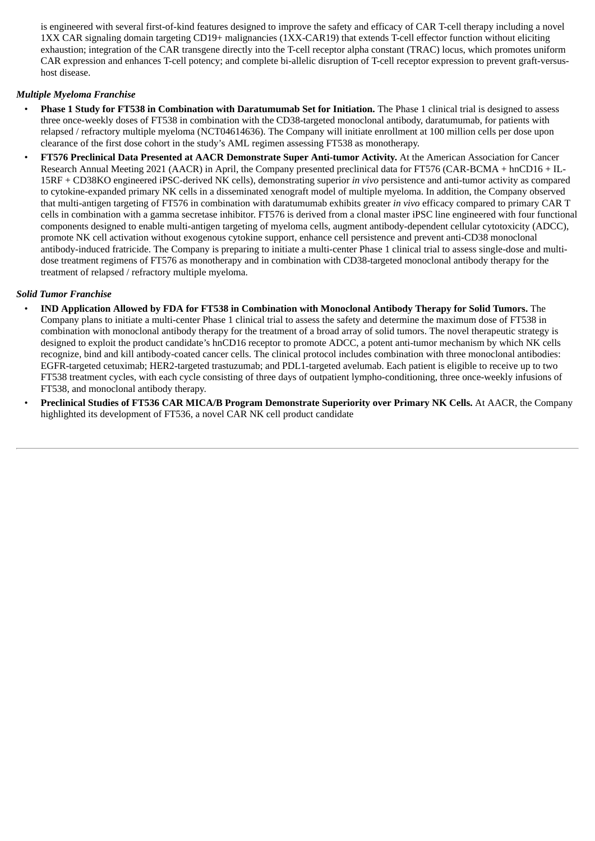is engineered with several first-of-kind features designed to improve the safety and efficacy of CAR T-cell therapy including a novel 1XX CAR signaling domain targeting CD19+ malignancies (1XX-CAR19) that extends T-cell effector function without eliciting exhaustion; integration of the CAR transgene directly into the T-cell receptor alpha constant (TRAC) locus, which promotes uniform CAR expression and enhances T-cell potency; and complete bi-allelic disruption of T-cell receptor expression to prevent graft-versushost disease.

# *Multiple Myeloma Franchise*

- **Phase 1 Study for FT538 in Combination with Daratumumab Set for Initiation.** The Phase 1 clinical trial is designed to assess three once-weekly doses of FT538 in combination with the CD38-targeted monoclonal antibody, daratumumab, for patients with relapsed / refractory multiple myeloma (NCT04614636). The Company will initiate enrollment at 100 million cells per dose upon clearance of the first dose cohort in the study's AML regimen assessing FT538 as monotherapy.
- **FT576 Preclinical Data Presented at AACR Demonstrate Super Anti-tumor Activity.** At the American Association for Cancer Research Annual Meeting 2021 (AACR) in April, the Company presented preclinical data for FT576 (CAR-BCMA + hnCD16 + IL-15RF + CD38KO engineered iPSC-derived NK cells), demonstrating superior *in vivo* persistence and anti-tumor activity as compared to cytokine-expanded primary NK cells in a disseminated xenograft model of multiple myeloma. In addition, the Company observed that multi-antigen targeting of FT576 in combination with daratumumab exhibits greater *in vivo* efficacy compared to primary CAR T cells in combination with a gamma secretase inhibitor. FT576 is derived from a clonal master iPSC line engineered with four functional components designed to enable multi-antigen targeting of myeloma cells, augment antibody-dependent cellular cytotoxicity (ADCC), promote NK cell activation without exogenous cytokine support, enhance cell persistence and prevent anti-CD38 monoclonal antibody-induced fratricide. The Company is preparing to initiate a multi-center Phase 1 clinical trial to assess single-dose and multidose treatment regimens of FT576 as monotherapy and in combination with CD38-targeted monoclonal antibody therapy for the treatment of relapsed / refractory multiple myeloma.

## *Solid Tumor Franchise*

- **IND Application Allowed by FDA for FT538 in Combination with Monoclonal Antibody Therapy for Solid Tumors.** The Company plans to initiate a multi-center Phase 1 clinical trial to assess the safety and determine the maximum dose of FT538 in combination with monoclonal antibody therapy for the treatment of a broad array of solid tumors. The novel therapeutic strategy is designed to exploit the product candidate's hnCD16 receptor to promote ADCC, a potent anti-tumor mechanism by which NK cells recognize, bind and kill antibody-coated cancer cells. The clinical protocol includes combination with three monoclonal antibodies: EGFR-targeted cetuximab; HER2-targeted trastuzumab; and PDL1-targeted avelumab. Each patient is eligible to receive up to two FT538 treatment cycles, with each cycle consisting of three days of outpatient lympho‑conditioning, three once-weekly infusions of FT538, and monoclonal antibody therapy.
- **Preclinical Studies of FT536 CAR MICA/B Program Demonstrate Superiority over Primary NK Cells.** At AACR, the Company highlighted its development of FT536, a novel CAR NK cell product candidate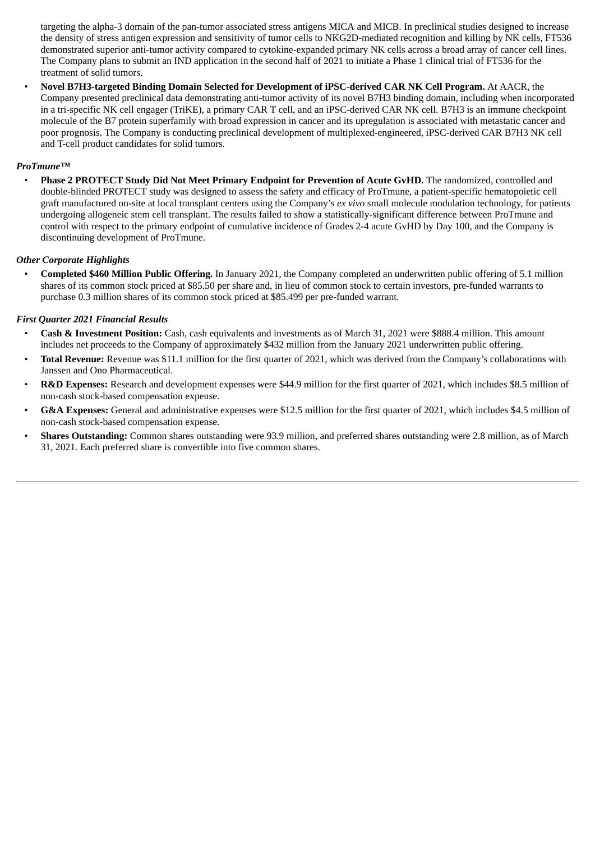targeting the alpha-3 domain of the pan-tumor associated stress antigens MICA and MICB. In preclinical studies designed to increase the density of stress antigen expression and sensitivity of tumor cells to NKG2D-mediated recognition and killing by NK cells, FT536 demonstrated superior anti-tumor activity compared to cytokine-expanded primary NK cells across a broad array of cancer cell lines. The Company plans to submit an IND application in the second half of 2021 to initiate a Phase 1 clinical trial of FT536 for the treatment of solid tumors.

• **Novel B7H3-targeted Binding Domain Selected for Development of iPSC-derived CAR NK Cell Program.** At AACR, the Company presented preclinical data demonstrating anti-tumor activity of its novel B7H3 binding domain, including when incorporated in a tri-specific NK cell engager (TriKE), a primary CAR T cell, and an iPSC-derived CAR NK cell. B7H3 is an immune checkpoint molecule of the B7 protein superfamily with broad expression in cancer and its upregulation is associated with metastatic cancer and poor prognosis. The Company is conducting preclinical development of multiplexed-engineered, iPSC-derived CAR B7H3 NK cell and T-cell product candidates for solid tumors.

## *ProTmune™*

• **Phase 2 PROTECT Study Did Not Meet Primary Endpoint for Prevention of Acute GvHD.** The randomized, controlled and double-blinded PROTECT study was designed to assess the safety and efficacy of ProTmune, a patient-specific hematopoietic cell graft manufactured on-site at local transplant centers using the Company's *ex vivo* small molecule modulation technology, for patients undergoing allogeneic stem cell transplant. The results failed to show a statistically-significant difference between ProTmune and control with respect to the primary endpoint of cumulative incidence of Grades 2-4 acute GvHD by Day 100, and the Company is discontinuing development of ProTmune.

#### *Other Corporate Highlights*

• **Completed \$460 Million Public Offering.** In January 2021, the Company completed an underwritten public offering of 5.1 million shares of its common stock priced at \$85.50 per share and, in lieu of common stock to certain investors, pre-funded warrants to purchase 0.3 million shares of its common stock priced at \$85.499 per pre-funded warrant.

#### *First Quarter 2021 Financial Results*

- **Cash & Investment Position:** Cash, cash equivalents and investments as of March 31, 2021 were \$888.4 million. This amount includes net proceeds to the Company of approximately \$432 million from the January 2021 underwritten public offering.
- **Total Revenue:** Revenue was \$11.1 million for the first quarter of 2021, which was derived from the Company's collaborations with Janssen and Ono Pharmaceutical.
- **R&D Expenses:** Research and development expenses were \$44.9 million for the first quarter of 2021, which includes \$8.5 million of non-cash stock-based compensation expense.
- **G&A Expenses:** General and administrative expenses were \$12.5 million for the first quarter of 2021, which includes \$4.5 million of non-cash stock-based compensation expense.
- **Shares Outstanding:** Common shares outstanding were 93.9 million, and preferred shares outstanding were 2.8 million, as of March 31, 2021. Each preferred share is convertible into five common shares.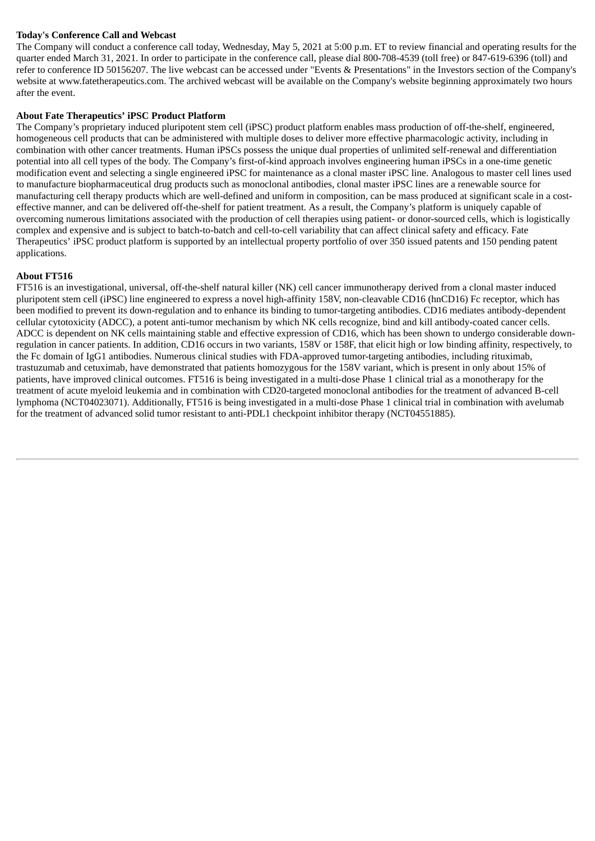#### **Today's Conference Call and Webcast**

The Company will conduct a conference call today, Wednesday, May 5, 2021 at 5:00 p.m. ET to review financial and operating results for the quarter ended March 31, 2021. In order to participate in the conference call, please dial 800-708-4539 (toll free) or 847-619-6396 (toll) and refer to conference ID 50156207. The live webcast can be accessed under "Events & Presentations" in the Investors section of the Company's website at www.fatetherapeutics.com. The archived webcast will be available on the Company's website beginning approximately two hours after the event.

#### **About Fate Therapeutics' iPSC Product Platform**

The Company's proprietary induced pluripotent stem cell (iPSC) product platform enables mass production of off-the-shelf, engineered, homogeneous cell products that can be administered with multiple doses to deliver more effective pharmacologic activity, including in combination with other cancer treatments. Human iPSCs possess the unique dual properties of unlimited self-renewal and differentiation potential into all cell types of the body. The Company's first-of-kind approach involves engineering human iPSCs in a one-time genetic modification event and selecting a single engineered iPSC for maintenance as a clonal master iPSC line. Analogous to master cell lines used to manufacture biopharmaceutical drug products such as monoclonal antibodies, clonal master iPSC lines are a renewable source for manufacturing cell therapy products which are well-defined and uniform in composition, can be mass produced at significant scale in a costeffective manner, and can be delivered off-the-shelf for patient treatment. As a result, the Company's platform is uniquely capable of overcoming numerous limitations associated with the production of cell therapies using patient- or donor-sourced cells, which is logistically complex and expensive and is subject to batch-to-batch and cell-to-cell variability that can affect clinical safety and efficacy. Fate Therapeutics' iPSC product platform is supported by an intellectual property portfolio of over 350 issued patents and 150 pending patent applications.

#### **About FT516**

FT516 is an investigational, universal, off-the-shelf natural killer (NK) cell cancer immunotherapy derived from a clonal master induced pluripotent stem cell (iPSC) line engineered to express a novel high-affinity 158V, non-cleavable CD16 (hnCD16) Fc receptor, which has been modified to prevent its down-regulation and to enhance its binding to tumor-targeting antibodies. CD16 mediates antibody-dependent cellular cytotoxicity (ADCC), a potent anti-tumor mechanism by which NK cells recognize, bind and kill antibody-coated cancer cells. ADCC is dependent on NK cells maintaining stable and effective expression of CD16, which has been shown to undergo considerable downregulation in cancer patients. In addition, CD16 occurs in two variants, 158V or 158F, that elicit high or low binding affinity, respectively, to the Fc domain of IgG1 antibodies. Numerous clinical studies with FDA-approved tumor-targeting antibodies, including rituximab, trastuzumab and cetuximab, have demonstrated that patients homozygous for the 158V variant, which is present in only about 15% of patients, have improved clinical outcomes. FT516 is being investigated in a multi-dose Phase 1 clinical trial as a monotherapy for the treatment of acute myeloid leukemia and in combination with CD20-targeted monoclonal antibodies for the treatment of advanced B-cell lymphoma (NCT04023071). Additionally, FT516 is being investigated in a multi-dose Phase 1 clinical trial in combination with avelumab for the treatment of advanced solid tumor resistant to anti-PDL1 checkpoint inhibitor therapy (NCT04551885).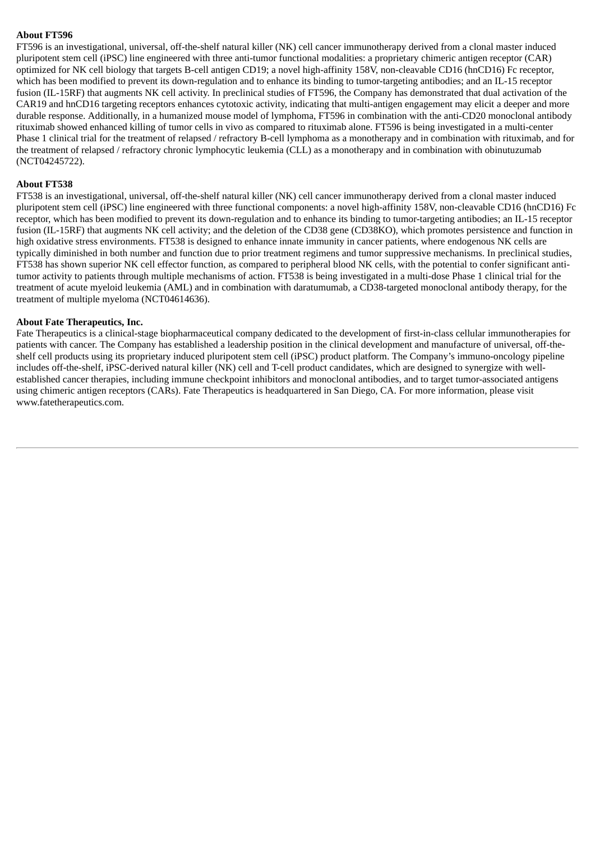#### **About FT596**

FT596 is an investigational, universal, off-the-shelf natural killer (NK) cell cancer immunotherapy derived from a clonal master induced pluripotent stem cell (iPSC) line engineered with three anti-tumor functional modalities: a proprietary chimeric antigen receptor (CAR) optimized for NK cell biology that targets B-cell antigen CD19; a novel high-affinity 158V, non-cleavable CD16 (hnCD16) Fc receptor, which has been modified to prevent its down-regulation and to enhance its binding to tumor-targeting antibodies; and an IL-15 receptor fusion (IL-15RF) that augments NK cell activity. In preclinical studies of FT596, the Company has demonstrated that dual activation of the CAR19 and hnCD16 targeting receptors enhances cytotoxic activity, indicating that multi-antigen engagement may elicit a deeper and more durable response. Additionally, in a humanized mouse model of lymphoma, FT596 in combination with the anti-CD20 monoclonal antibody rituximab showed enhanced killing of tumor cells in vivo as compared to rituximab alone. FT596 is being investigated in a multi-center Phase 1 clinical trial for the treatment of relapsed / refractory B-cell lymphoma as a monotherapy and in combination with rituximab, and for the treatment of relapsed / refractory chronic lymphocytic leukemia (CLL) as a monotherapy and in combination with obinutuzumab (NCT04245722).

#### **About FT538**

FT538 is an investigational, universal, off-the-shelf natural killer (NK) cell cancer immunotherapy derived from a clonal master induced pluripotent stem cell (iPSC) line engineered with three functional components: a novel high-affinity 158V, non-cleavable CD16 (hnCD16) Fc receptor, which has been modified to prevent its down-regulation and to enhance its binding to tumor-targeting antibodies; an IL-15 receptor fusion (IL-15RF) that augments NK cell activity; and the deletion of the CD38 gene (CD38KO), which promotes persistence and function in high oxidative stress environments. FT538 is designed to enhance innate immunity in cancer patients, where endogenous NK cells are typically diminished in both number and function due to prior treatment regimens and tumor suppressive mechanisms. In preclinical studies, FT538 has shown superior NK cell effector function, as compared to peripheral blood NK cells, with the potential to confer significant antitumor activity to patients through multiple mechanisms of action. FT538 is being investigated in a multi-dose Phase 1 clinical trial for the treatment of acute myeloid leukemia (AML) and in combination with daratumumab, a CD38-targeted monoclonal antibody therapy, for the treatment of multiple myeloma (NCT04614636).

#### **About Fate Therapeutics, Inc.**

Fate Therapeutics is a clinical-stage biopharmaceutical company dedicated to the development of first-in-class cellular immunotherapies for patients with cancer. The Company has established a leadership position in the clinical development and manufacture of universal, off-theshelf cell products using its proprietary induced pluripotent stem cell (iPSC) product platform. The Company's immuno-oncology pipeline includes off-the-shelf, iPSC-derived natural killer (NK) cell and T-cell product candidates, which are designed to synergize with wellestablished cancer therapies, including immune checkpoint inhibitors and monoclonal antibodies, and to target tumor-associated antigens using chimeric antigen receptors (CARs). Fate Therapeutics is headquartered in San Diego, CA. For more information, please visit www.fatetherapeutics.com.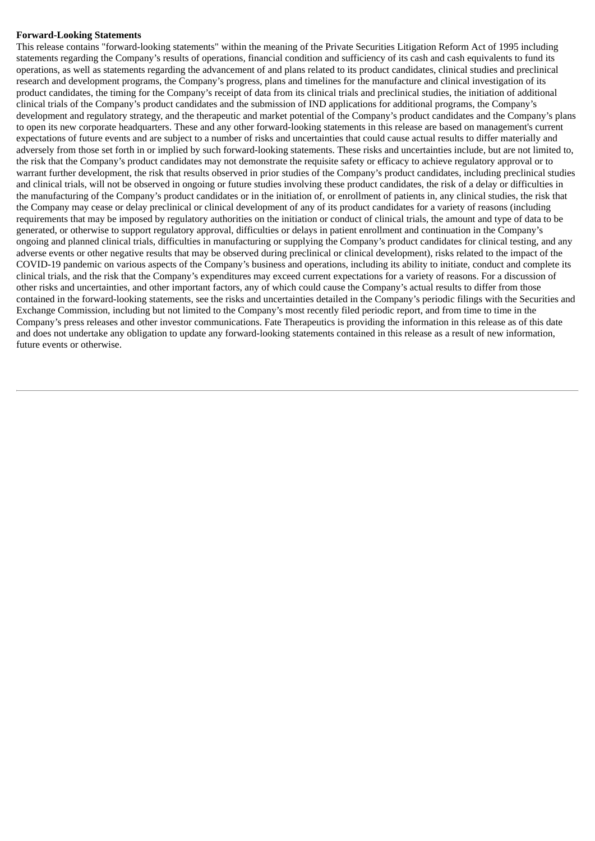#### **Forward-Looking Statements**

This release contains "forward-looking statements" within the meaning of the Private Securities Litigation Reform Act of 1995 including statements regarding the Company's results of operations, financial condition and sufficiency of its cash and cash equivalents to fund its operations, as well as statements regarding the advancement of and plans related to its product candidates, clinical studies and preclinical research and development programs, the Company's progress, plans and timelines for the manufacture and clinical investigation of its product candidates, the timing for the Company's receipt of data from its clinical trials and preclinical studies, the initiation of additional clinical trials of the Company's product candidates and the submission of IND applications for additional programs, the Company's development and regulatory strategy, and the therapeutic and market potential of the Company's product candidates and the Company's plans to open its new corporate headquarters. These and any other forward-looking statements in this release are based on management's current expectations of future events and are subject to a number of risks and uncertainties that could cause actual results to differ materially and adversely from those set forth in or implied by such forward-looking statements. These risks and uncertainties include, but are not limited to, the risk that the Company's product candidates may not demonstrate the requisite safety or efficacy to achieve regulatory approval or to warrant further development, the risk that results observed in prior studies of the Company's product candidates, including preclinical studies and clinical trials, will not be observed in ongoing or future studies involving these product candidates, the risk of a delay or difficulties in the manufacturing of the Company's product candidates or in the initiation of, or enrollment of patients in, any clinical studies, the risk that the Company may cease or delay preclinical or clinical development of any of its product candidates for a variety of reasons (including requirements that may be imposed by regulatory authorities on the initiation or conduct of clinical trials, the amount and type of data to be generated, or otherwise to support regulatory approval, difficulties or delays in patient enrollment and continuation in the Company's ongoing and planned clinical trials, difficulties in manufacturing or supplying the Company's product candidates for clinical testing, and any adverse events or other negative results that may be observed during preclinical or clinical development), risks related to the impact of the COVID-19 pandemic on various aspects of the Company's business and operations, including its ability to initiate, conduct and complete its clinical trials, and the risk that the Company's expenditures may exceed current expectations for a variety of reasons. For a discussion of other risks and uncertainties, and other important factors, any of which could cause the Company's actual results to differ from those contained in the forward-looking statements, see the risks and uncertainties detailed in the Company's periodic filings with the Securities and Exchange Commission, including but not limited to the Company's most recently filed periodic report, and from time to time in the Company's press releases and other investor communications. Fate Therapeutics is providing the information in this release as of this date and does not undertake any obligation to update any forward-looking statements contained in this release as a result of new information, future events or otherwise.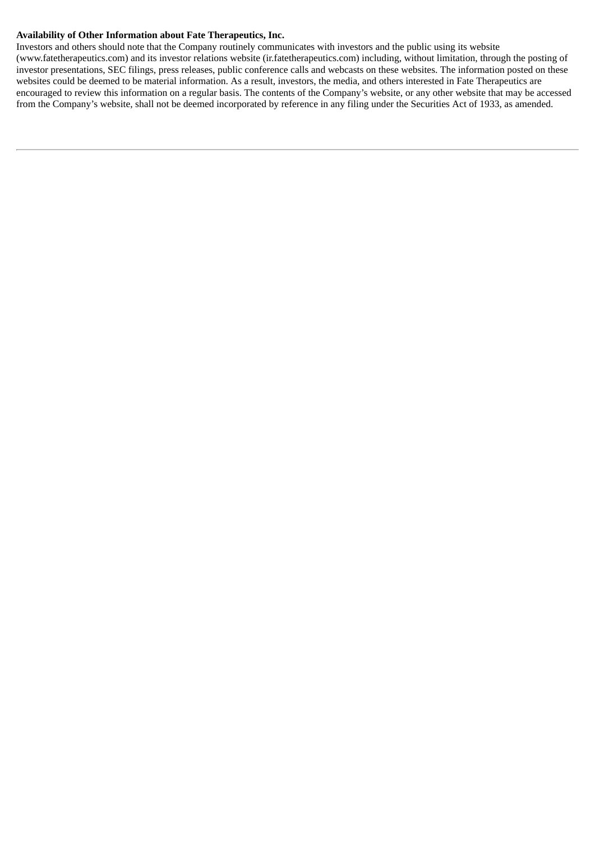#### **Availability of Other Information about Fate Therapeutics, Inc.**

Investors and others should note that the Company routinely communicates with investors and the public using its website (www.fatetherapeutics.com) and its investor relations website (ir.fatetherapeutics.com) including, without limitation, through the posting of investor presentations, SEC filings, press releases, public conference calls and webcasts on these websites. The information posted on these websites could be deemed to be material information. As a result, investors, the media, and others interested in Fate Therapeutics are encouraged to review this information on a regular basis. The contents of the Company's website, or any other website that may be accessed from the Company's website, shall not be deemed incorporated by reference in any filing under the Securities Act of 1933, as amended.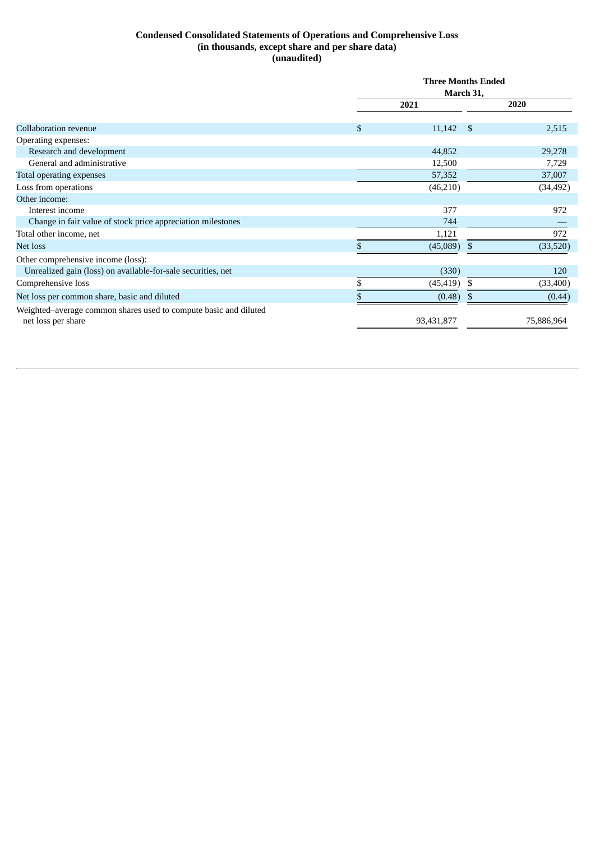#### **Condensed Consolidated Statements of Operations and Comprehensive Loss (in thousands, except share and per share data) (unaudited)**

|                                                                                        | <b>Three Months Ended</b><br>March 31, |      |            |  |
|----------------------------------------------------------------------------------------|----------------------------------------|------|------------|--|
|                                                                                        | 2021                                   | 2020 |            |  |
|                                                                                        |                                        |      |            |  |
| Collaboration revenue                                                                  | \$<br>$11,142$ \$                      |      | 2,515      |  |
| Operating expenses:                                                                    |                                        |      |            |  |
| Research and development                                                               | 44,852                                 |      | 29,278     |  |
| General and administrative                                                             | 12,500                                 |      | 7,729      |  |
| Total operating expenses                                                               | 57,352                                 |      | 37,007     |  |
| Loss from operations                                                                   | (46,210)                               |      | (34, 492)  |  |
| Other income:                                                                          |                                        |      |            |  |
| Interest income                                                                        | 377                                    |      | 972        |  |
| Change in fair value of stock price appreciation milestones                            | 744                                    |      |            |  |
| Total other income, net                                                                | 1,121                                  |      | 972        |  |
| Net loss                                                                               | (45,089)                               | -S   | (33,520)   |  |
| Other comprehensive income (loss):                                                     |                                        |      |            |  |
| Unrealized gain (loss) on available-for-sale securities, net                           | (330)                                  |      | 120        |  |
| Comprehensive loss                                                                     | (45, 419)                              |      | (33, 400)  |  |
| Net loss per common share, basic and diluted                                           | (0.48)                                 |      | (0.44)     |  |
| Weighted-average common shares used to compute basic and diluted<br>net loss per share | 93,431,877                             |      | 75,886,964 |  |